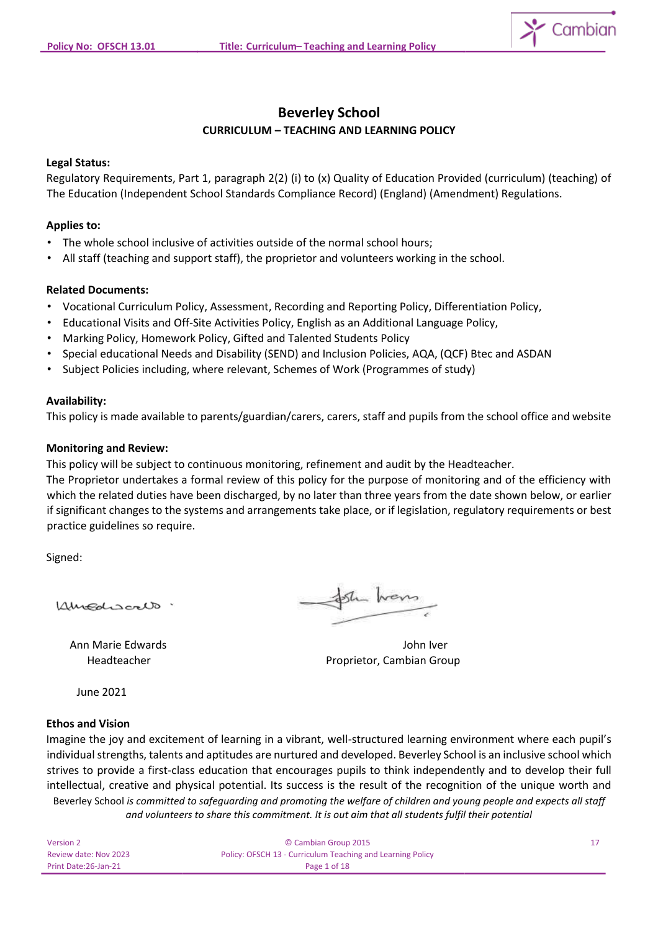

# **Beverley School CURRICULUM – TEACHING AND LEARNING POLICY**

## **Legal Status:**

Regulatory Requirements, Part 1, paragraph 2(2) (i) to (x) Quality of Education Provided (curriculum) (teaching) of The Education (Independent School Standards Compliance Record) (England) (Amendment) Regulations.

## **Applies to:**

- The whole school inclusive of activities outside of the normal school hours;
- All staff (teaching and support staff), the proprietor and volunteers working in the school.

## **Related Documents:**

- Vocational Curriculum Policy, Assessment, Recording and Reporting Policy, Differentiation Policy,
- Educational Visits and Off-Site Activities Policy, English as an Additional Language Policy,
- Marking Policy, Homework Policy, Gifted and Talented Students Policy
- Special educational Needs and Disability (SEND) and Inclusion Policies, AQA, (QCF) Btec and ASDAN
- Subject Policies including, where relevant, Schemes of Work (Programmes of study)

## **Availability:**

This policy is made available to parents/guardian/carers, carers, staff and pupils from the school office and website

## **Monitoring and Review:**

This policy will be subject to continuous monitoring, refinement and audit by the Headteacher.

The Proprietor undertakes a formal review of this policy for the purpose of monitoring and of the efficiency with which the related duties have been discharged, by no later than three years from the date shown below, or earlier if significant changes to the systems and arrangements take place, or if legislation, regulatory requirements or best practice guidelines so require.

Signed:

Kincolsonto

Sh wers

Ann Marie Edwards John Iver Headteacher **Proprietor, Cambian Group** 

June 2021

## **Ethos and Vision**

Beverley School *is committed to safeguarding and promoting the welfare of children and young people and expects all staff and volunteers to share this commitment. It is out aim that all students fulfil their potential* Imagine the joy and excitement of learning in a vibrant, well-structured learning environment where each pupil's individual strengths, talents and aptitudes are nurtured and developed. Beverley School is an inclusive school which strives to provide a first-class education that encourages pupils to think independently and to develop their full intellectual, creative and physical potential. Its success is the result of the recognition of the unique worth and

| Version 2             | © Cambian Group 2015                                       |  |
|-----------------------|------------------------------------------------------------|--|
| Review date: Nov 2023 | Policy: OFSCH 13 - Curriculum Teaching and Learning Policy |  |
| Print Date:26-Jan-21  | Page 1 of 18                                               |  |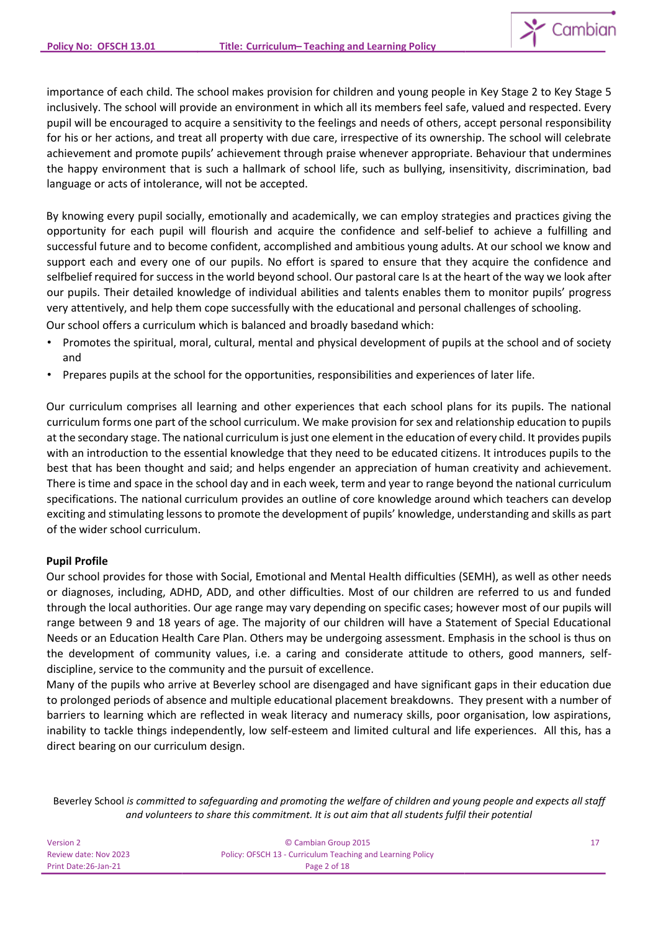importance of each child. The school makes provision for children and young people in Key Stage 2 to Key Stage 5 inclusively. The school will provide an environment in which all its members feel safe, valued and respected. Every pupil will be encouraged to acquire a sensitivity to the feelings and needs of others, accept personal responsibility for his or her actions, and treat all property with due care, irrespective of its ownership. The school will celebrate achievement and promote pupils' achievement through praise whenever appropriate. Behaviour that undermines the happy environment that is such a hallmark of school life, such as bullying, insensitivity, discrimination, bad language or acts of intolerance, will not be accepted.

By knowing every pupil socially, emotionally and academically, we can employ strategies and practices giving the opportunity for each pupil will flourish and acquire the confidence and self-belief to achieve a fulfilling and successful future and to become confident, accomplished and ambitious young adults. At our school we know and support each and every one of our pupils. No effort is spared to ensure that they acquire the confidence and selfbelief required for success in the world beyond school. Our pastoral care Is at the heart of the way we look after our pupils. Their detailed knowledge of individual abilities and talents enables them to monitor pupils' progress very attentively, and help them cope successfully with the educational and personal challenges of schooling.

Our school offers a curriculum which is balanced and broadly basedand which:

- Promotes the spiritual, moral, cultural, mental and physical development of pupils at the school and of society and
- Prepares pupils at the school for the opportunities, responsibilities and experiences of later life.

Our curriculum comprises all learning and other experiences that each school plans for its pupils. The national curriculum forms one part of the school curriculum. We make provision for sex and relationship education to pupils at the secondary stage. The national curriculum is just one element in the education of every child. It provides pupils with an introduction to the essential knowledge that they need to be educated citizens. It introduces pupils to the best that has been thought and said; and helps engender an appreciation of human creativity and achievement. There is time and space in the school day and in each week, term and year to range beyond the national curriculum specifications. The national curriculum provides an outline of core knowledge around which teachers can develop exciting and stimulating lessons to promote the development of pupils' knowledge, understanding and skills as part of the wider school curriculum.

## **Pupil Profile**

Our school provides for those with Social, Emotional and Mental Health difficulties (SEMH), as well as other needs or diagnoses, including, ADHD, ADD, and other difficulties. Most of our children are referred to us and funded through the local authorities. Our age range may vary depending on specific cases; however most of our pupils will range between 9 and 18 years of age. The majority of our children will have a Statement of Special Educational Needs or an Education Health Care Plan. Others may be undergoing assessment. Emphasis in the school is thus on the development of community values, i.e. a caring and considerate attitude to others, good manners, selfdiscipline, service to the community and the pursuit of excellence.

Many of the pupils who arrive at Beverley school are disengaged and have significant gaps in their education due to prolonged periods of absence and multiple educational placement breakdowns. They present with a number of barriers to learning which are reflected in weak literacy and numeracy skills, poor organisation, low aspirations, inability to tackle things independently, low self-esteem and limited cultural and life experiences. All this, has a direct bearing on our curriculum design.

| Version 2             | © Cambian Group 2015                                       |  |
|-----------------------|------------------------------------------------------------|--|
| Review date: Nov 2023 | Policy: OFSCH 13 - Curriculum Teaching and Learning Policy |  |
| Print Date: 26-Jan-21 | Page 2 of 18                                               |  |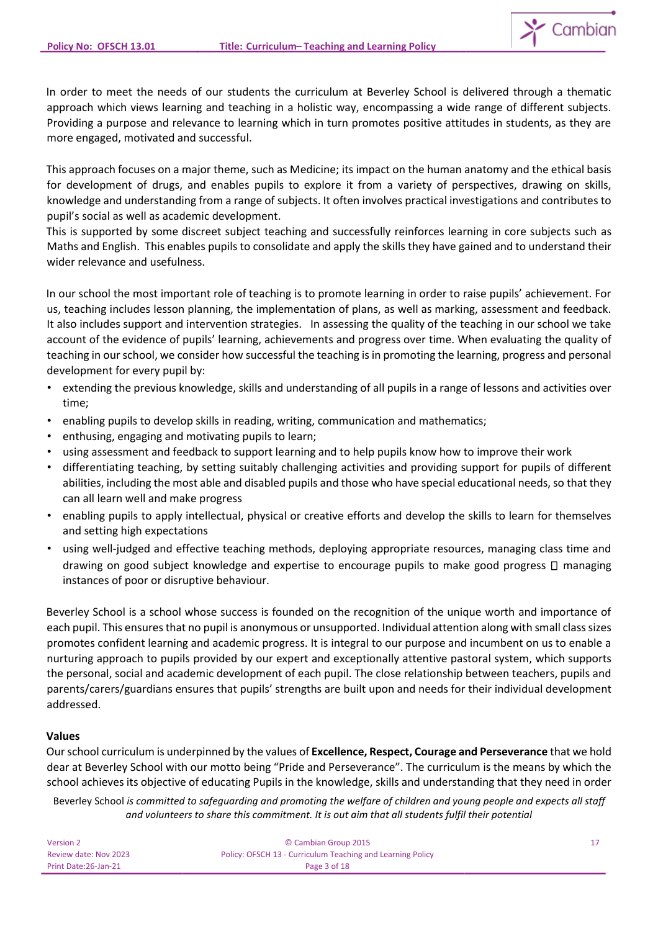In order to meet the needs of our students the curriculum at Beverley School is delivered through a thematic approach which views learning and teaching in a holistic way, encompassing a wide range of different subjects. Providing a purpose and relevance to learning which in turn promotes positive attitudes in students, as they are more engaged, motivated and successful.

This approach focuses on a major theme, such as Medicine; its impact on the human anatomy and the ethical basis for development of drugs, and enables pupils to explore it from a variety of perspectives, drawing on skills, knowledge and understanding from a range of subjects. It often involves practical investigations and contributes to pupil's social as well as academic development.

This is supported by some discreet subject teaching and successfully reinforces learning in core subjects such as Maths and English. This enables pupils to consolidate and apply the skills they have gained and to understand their wider relevance and usefulness.

In our school the most important role of teaching is to promote learning in order to raise pupils' achievement. For us, teaching includes lesson planning, the implementation of plans, as well as marking, assessment and feedback. It also includes support and intervention strategies. In assessing the quality of the teaching in our school we take account of the evidence of pupils' learning, achievements and progress over time. When evaluating the quality of teaching in our school, we consider how successful the teaching is in promoting the learning, progress and personal development for every pupil by:

- extending the previous knowledge, skills and understanding of all pupils in a range of lessons and activities over time;
- enabling pupils to develop skills in reading, writing, communication and mathematics;
- enthusing, engaging and motivating pupils to learn;
- using assessment and feedback to support learning and to help pupils know how to improve their work
- differentiating teaching, by setting suitably challenging activities and providing support for pupils of different abilities, including the most able and disabled pupils and those who have special educational needs, so that they can all learn well and make progress
- enabling pupils to apply intellectual, physical or creative efforts and develop the skills to learn for themselves and setting high expectations
- using well-judged and effective teaching methods, deploying appropriate resources, managing class time and drawing on good subject knowledge and expertise to encourage pupils to make good progress  $\Box$  managing instances of poor or disruptive behaviour.

Beverley School is a school whose success is founded on the recognition of the unique worth and importance of each pupil. This ensures that no pupil is anonymous or unsupported. Individual attention along with small class sizes promotes confident learning and academic progress. It is integral to our purpose and incumbent on us to enable a nurturing approach to pupils provided by our expert and exceptionally attentive pastoral system, which supports the personal, social and academic development of each pupil. The close relationship between teachers, pupils and parents/carers/guardians ensures that pupils' strengths are built upon and needs for their individual development addressed.

## **Values**

Our school curriculum is underpinned by the values of **Excellence, Respect, Courage and Perseverance** that we hold dear at Beverley School with our motto being "Pride and Perseverance". The curriculum is the means by which the school achieves its objective of educating Pupils in the knowledge, skills and understanding that they need in order

| Version 2             | © Cambian Group 2015                                       |  |
|-----------------------|------------------------------------------------------------|--|
| Review date: Nov 2023 | Policy: OFSCH 13 - Curriculum Teaching and Learning Policy |  |
| Print Date:26-Jan-21  | Page 3 of 18                                               |  |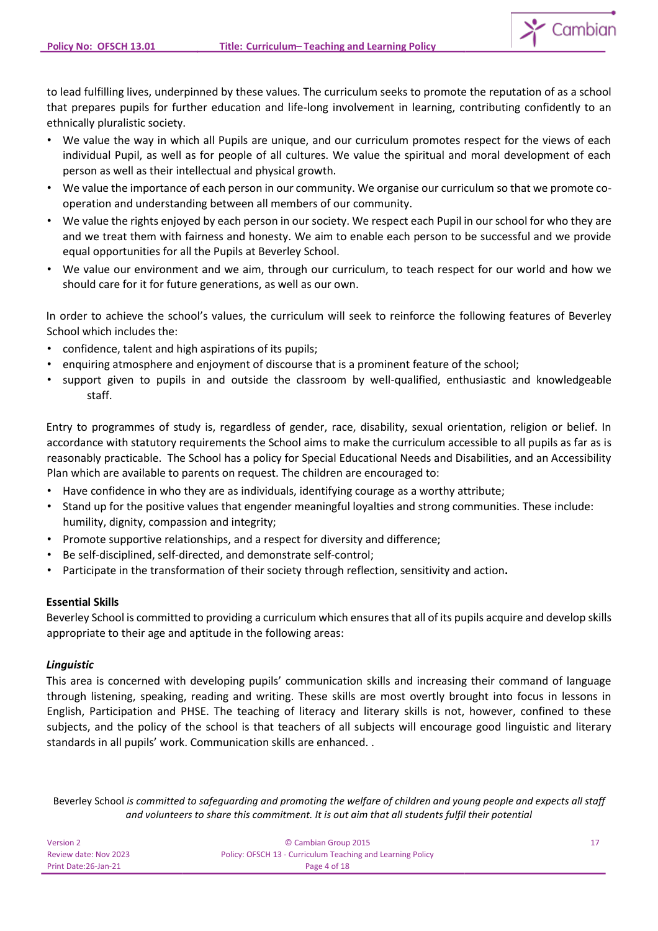to lead fulfilling lives, underpinned by these values. The curriculum seeks to promote the reputation of as a school that prepares pupils for further education and life-long involvement in learning, contributing confidently to an ethnically pluralistic society.

- We value the way in which all Pupils are unique, and our curriculum promotes respect for the views of each individual Pupil, as well as for people of all cultures. We value the spiritual and moral development of each person as well as their intellectual and physical growth.
- We value the importance of each person in our community. We organise our curriculum so that we promote cooperation and understanding between all members of our community.
- We value the rights enjoyed by each person in our society. We respect each Pupil in our school for who they are and we treat them with fairness and honesty. We aim to enable each person to be successful and we provide equal opportunities for all the Pupils at Beverley School.
- We value our environment and we aim, through our curriculum, to teach respect for our world and how we should care for it for future generations, as well as our own.

In order to achieve the school's values, the curriculum will seek to reinforce the following features of Beverley School which includes the:

- confidence, talent and high aspirations of its pupils;
- enquiring atmosphere and enjoyment of discourse that is a prominent feature of the school;
- support given to pupils in and outside the classroom by well-qualified, enthusiastic and knowledgeable staff.

Entry to programmes of study is, regardless of gender, race, disability, sexual orientation, religion or belief. In accordance with statutory requirements the School aims to make the curriculum accessible to all pupils as far as is reasonably practicable. The School has a policy for Special Educational Needs and Disabilities, and an Accessibility Plan which are available to parents on request. The children are encouraged to:

- Have confidence in who they are as individuals, identifying courage as a worthy attribute;
- Stand up for the positive values that engender meaningful loyalties and strong communities. These include: humility, dignity, compassion and integrity;
- Promote supportive relationships, and a respect for diversity and difference;
- Be self-disciplined, self-directed, and demonstrate self-control;
- Participate in the transformation of their society through reflection, sensitivity and action**.**

## **Essential Skills**

Beverley School is committed to providing a curriculum which ensures that all of its pupils acquire and develop skills appropriate to their age and aptitude in the following areas:

## *Linguistic*

This area is concerned with developing pupils' communication skills and increasing their command of language through listening, speaking, reading and writing. These skills are most overtly brought into focus in lessons in English, Participation and PHSE. The teaching of literacy and literary skills is not, however, confined to these subjects, and the policy of the school is that teachers of all subjects will encourage good linguistic and literary standards in all pupils' work. Communication skills are enhanced. .

| Version 2             | © Cambian Group 2015                                       |  |
|-----------------------|------------------------------------------------------------|--|
| Review date: Nov 2023 | Policy: OFSCH 13 - Curriculum Teaching and Learning Policy |  |
| Print Date: 26-Jan-21 | Page 4 of 18                                               |  |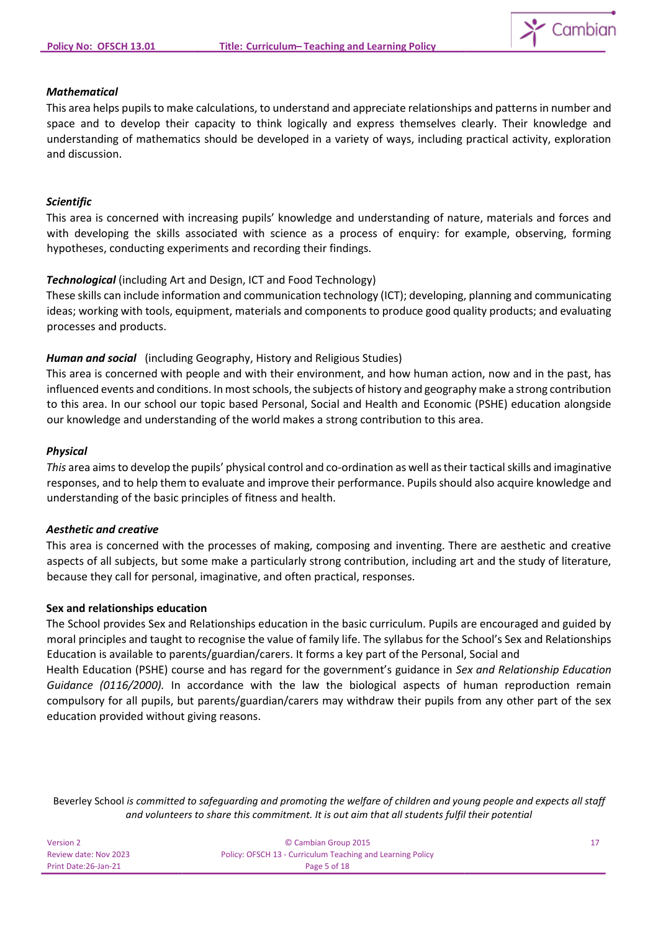

## *Mathematical*

This area helps pupils to make calculations, to understand and appreciate relationships and patterns in number and space and to develop their capacity to think logically and express themselves clearly. Their knowledge and understanding of mathematics should be developed in a variety of ways, including practical activity, exploration and discussion.

### *Scientific*

This area is concerned with increasing pupils' knowledge and understanding of nature, materials and forces and with developing the skills associated with science as a process of enquiry: for example, observing, forming hypotheses, conducting experiments and recording their findings.

## *Technological* (including Art and Design, ICT and Food Technology)

These skills can include information and communication technology (ICT); developing, planning and communicating ideas; working with tools, equipment, materials and components to produce good quality products; and evaluating processes and products.

### *Human and social* (including Geography, History and Religious Studies)

This area is concerned with people and with their environment, and how human action, now and in the past, has influenced events and conditions. In most schools, the subjects of history and geography make a strong contribution to this area. In our school our topic based Personal, Social and Health and Economic (PSHE) education alongside our knowledge and understanding of the world makes a strong contribution to this area.

#### *Physical*

*This* area aims to develop the pupils' physical control and co-ordination as well as their tactical skills and imaginative responses, and to help them to evaluate and improve their performance. Pupils should also acquire knowledge and understanding of the basic principles of fitness and health.

#### *Aesthetic and creative*

This area is concerned with the processes of making, composing and inventing. There are aesthetic and creative aspects of all subjects, but some make a particularly strong contribution, including art and the study of literature, because they call for personal, imaginative, and often practical, responses.

#### **Sex and relationships education**

The School provides Sex and Relationships education in the basic curriculum. Pupils are encouraged and guided by moral principles and taught to recognise the value of family life. The syllabus for the School's Sex and Relationships Education is available to parents/guardian/carers. It forms a key part of the Personal, Social and

Health Education (PSHE) course and has regard for the government's guidance in *Sex and Relationship Education Guidance (0116/2000).* In accordance with the law the biological aspects of human reproduction remain compulsory for all pupils, but parents/guardian/carers may withdraw their pupils from any other part of the sex education provided without giving reasons.

| Version 2             | © Cambian Group 2015                                       |  |
|-----------------------|------------------------------------------------------------|--|
| Review date: Nov 2023 | Policy: OFSCH 13 - Curriculum Teaching and Learning Policy |  |
| Print Date:26-Jan-21  | Page 5 of 18                                               |  |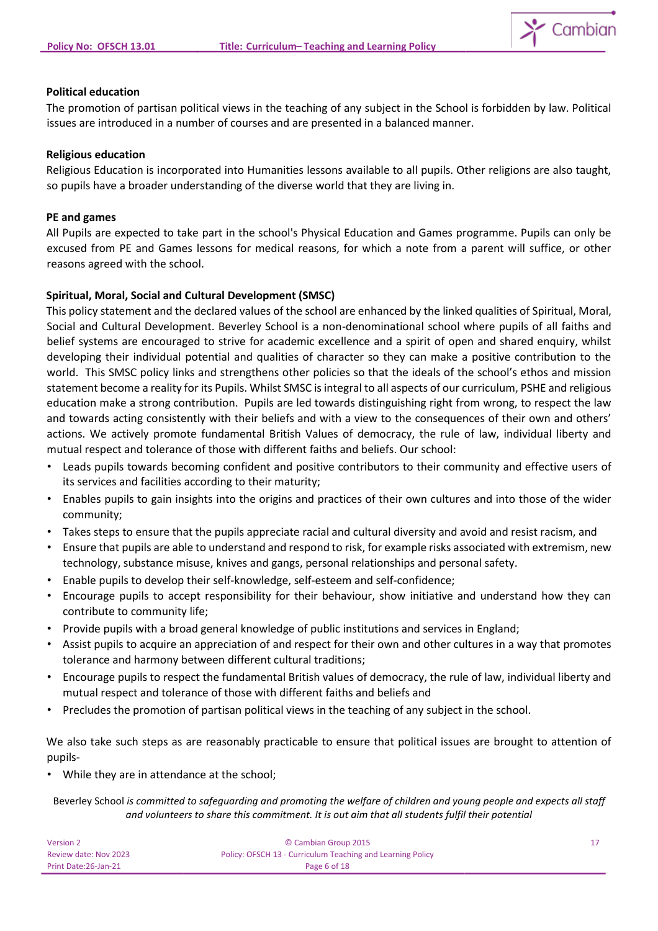

### **Political education**

The promotion of partisan political views in the teaching of any subject in the School is forbidden by law. Political issues are introduced in a number of courses and are presented in a balanced manner.

#### **Religious education**

Religious Education is incorporated into Humanities lessons available to all pupils. Other religions are also taught, so pupils have a broader understanding of the diverse world that they are living in.

#### **PE and games**

All Pupils are expected to take part in the school's Physical Education and Games programme. Pupils can only be excused from PE and Games lessons for medical reasons, for which a note from a parent will suffice, or other reasons agreed with the school.

## **Spiritual, Moral, Social and Cultural Development (SMSC)**

This policy statement and the declared values of the school are enhanced by the linked qualities of Spiritual, Moral, Social and Cultural Development. Beverley School is a non-denominational school where pupils of all faiths and belief systems are encouraged to strive for academic excellence and a spirit of open and shared enquiry, whilst developing their individual potential and qualities of character so they can make a positive contribution to the world. This SMSC policy links and strengthens other policies so that the ideals of the school's ethos and mission statement become a reality for its Pupils. Whilst SMSC is integral to all aspects of our curriculum, PSHE and religious education make a strong contribution. Pupils are led towards distinguishing right from wrong, to respect the law and towards acting consistently with their beliefs and with a view to the consequences of their own and others' actions. We actively promote fundamental British Values of democracy, the rule of law, individual liberty and mutual respect and tolerance of those with different faiths and beliefs. Our school:

- Leads pupils towards becoming confident and positive contributors to their community and effective users of its services and facilities according to their maturity;
- Enables pupils to gain insights into the origins and practices of their own cultures and into those of the wider community;
- Takes steps to ensure that the pupils appreciate racial and cultural diversity and avoid and resist racism, and
- Ensure that pupils are able to understand and respond to risk, for example risks associated with extremism, new technology, substance misuse, knives and gangs, personal relationships and personal safety.
- Enable pupils to develop their self-knowledge, self-esteem and self-confidence;
- Encourage pupils to accept responsibility for their behaviour, show initiative and understand how they can contribute to community life;
- Provide pupils with a broad general knowledge of public institutions and services in England;
- Assist pupils to acquire an appreciation of and respect for their own and other cultures in a way that promotes tolerance and harmony between different cultural traditions;
- Encourage pupils to respect the fundamental British values of democracy, the rule of law, individual liberty and mutual respect and tolerance of those with different faiths and beliefs and
- Precludes the promotion of partisan political views in the teaching of any subject in the school.

We also take such steps as are reasonably practicable to ensure that political issues are brought to attention of pupils-

• While they are in attendance at the school;

| Version 2             | © Cambian Group 2015                                       |  |
|-----------------------|------------------------------------------------------------|--|
| Review date: Nov 2023 | Policy: OFSCH 13 - Curriculum Teaching and Learning Policy |  |
| Print Date: 26-Jan-21 | Page 6 of 18                                               |  |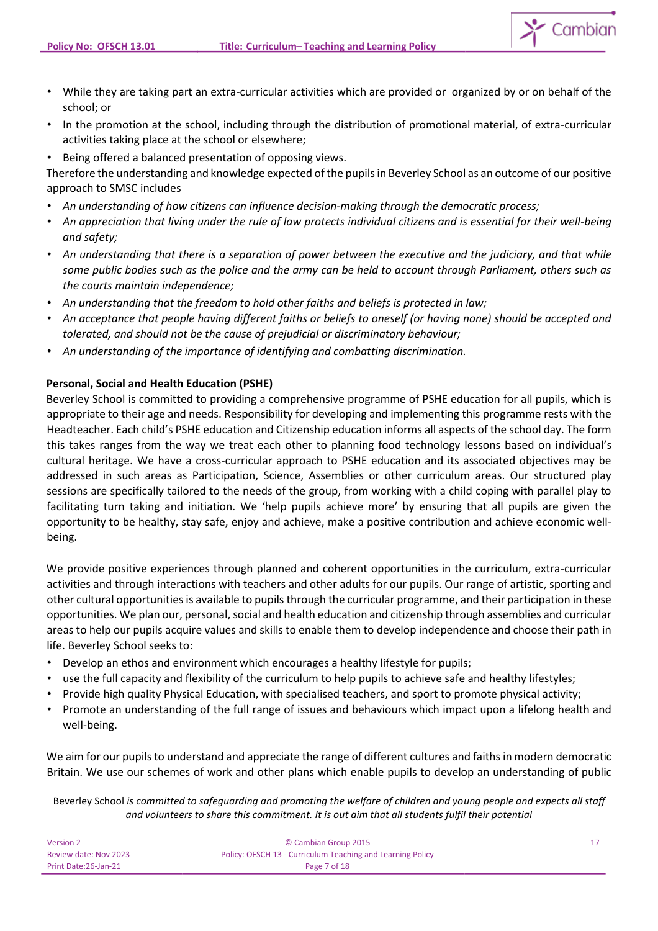- While they are taking part an extra-curricular activities which are provided or organized by or on behalf of the school; or
- In the promotion at the school, including through the distribution of promotional material, of extra-curricular activities taking place at the school or elsewhere;
- Being offered a balanced presentation of opposing views.

Therefore the understanding and knowledge expected of the pupils in Beverley School as an outcome of our positive approach to SMSC includes

- *An understanding of how citizens can influence decision-making through the democratic process;*
- *An appreciation that living under the rule of law protects individual citizens and is essential for their well-being and safety;*
- *An understanding that there is a separation of power between the executive and the judiciary, and that while some public bodies such as the police and the army can be held to account through Parliament, others such as the courts maintain independence;*
- *An understanding that the freedom to hold other faiths and beliefs is protected in law;*
- *An acceptance that people having different faiths or beliefs to oneself (or having none) should be accepted and tolerated, and should not be the cause of prejudicial or discriminatory behaviour;*
- *An understanding of the importance of identifying and combatting discrimination.*

## **Personal, Social and Health Education (PSHE)**

Beverley School is committed to providing a comprehensive programme of PSHE education for all pupils, which is appropriate to their age and needs. Responsibility for developing and implementing this programme rests with the Headteacher. Each child's PSHE education and Citizenship education informs all aspects of the school day. The form this takes ranges from the way we treat each other to planning food technology lessons based on individual's cultural heritage. We have a cross-curricular approach to PSHE education and its associated objectives may be addressed in such areas as Participation, Science, Assemblies or other curriculum areas. Our structured play sessions are specifically tailored to the needs of the group, from working with a child coping with parallel play to facilitating turn taking and initiation. We 'help pupils achieve more' by ensuring that all pupils are given the opportunity to be healthy, stay safe, enjoy and achieve, make a positive contribution and achieve economic wellbeing.

We provide positive experiences through planned and coherent opportunities in the curriculum, extra-curricular activities and through interactions with teachers and other adults for our pupils. Our range of artistic, sporting and other cultural opportunities is available to pupils through the curricular programme, and their participation in these opportunities. We plan our, personal, social and health education and citizenship through assemblies and curricular areas to help our pupils acquire values and skills to enable them to develop independence and choose their path in life. Beverley School seeks to:

- Develop an ethos and environment which encourages a healthy lifestyle for pupils;
- use the full capacity and flexibility of the curriculum to help pupils to achieve safe and healthy lifestyles;
- Provide high quality Physical Education, with specialised teachers, and sport to promote physical activity;
- Promote an understanding of the full range of issues and behaviours which impact upon a lifelong health and well-being.

We aim for our pupils to understand and appreciate the range of different cultures and faiths in modern democratic Britain. We use our schemes of work and other plans which enable pupils to develop an understanding of public

| Version 2             | C Cambian Group 2015                                       |  |
|-----------------------|------------------------------------------------------------|--|
| Review date: Nov 2023 | Policy: OFSCH 13 - Curriculum Teaching and Learning Policy |  |
| Print Date: 26-Jan-21 | Page 7 of 18                                               |  |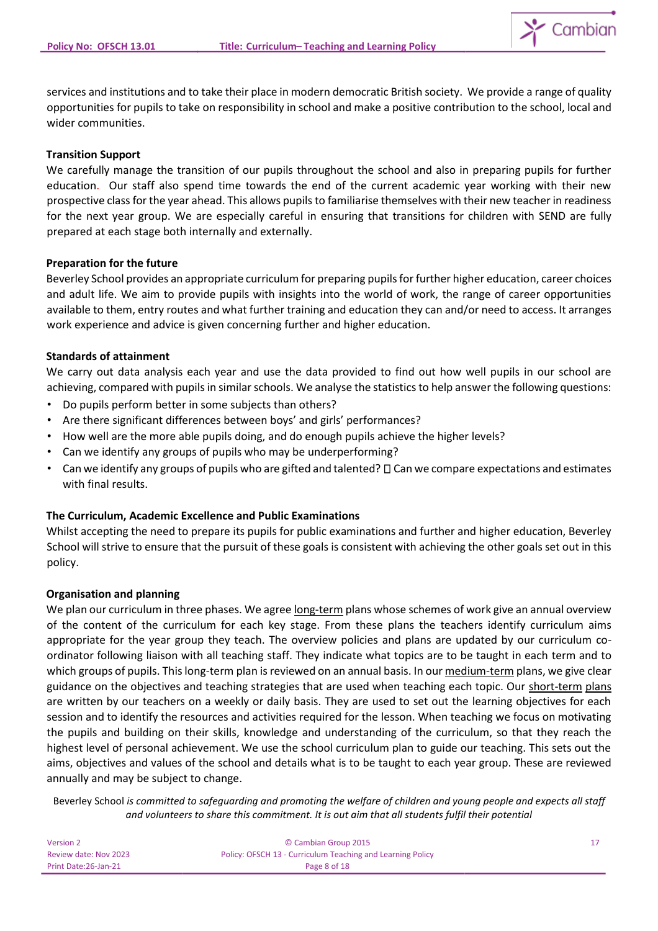

services and institutions and to take their place in modern democratic British society. We provide a range of quality opportunities for pupils to take on responsibility in school and make a positive contribution to the school, local and wider communities.

### **Transition Support**

We carefully manage the transition of our pupils throughout the school and also in preparing pupils for further education. Our staff also spend time towards the end of the current academic year working with their new prospective class for the year ahead. This allows pupils to familiarise themselves with their new teacher in readiness for the next year group. We are especially careful in ensuring that transitions for children with SEND are fully prepared at each stage both internally and externally.

## **Preparation for the future**

Beverley School provides an appropriate curriculum for preparing pupils for further higher education, career choices and adult life. We aim to provide pupils with insights into the world of work, the range of career opportunities available to them, entry routes and what further training and education they can and/or need to access. It arranges work experience and advice is given concerning further and higher education.

## **Standards of attainment**

We carry out data analysis each year and use the data provided to find out how well pupils in our school are achieving, compared with pupils in similar schools. We analyse the statistics to help answer the following questions:

- Do pupils perform better in some subjects than others?
- Are there significant differences between boys' and girls' performances?
- How well are the more able pupils doing, and do enough pupils achieve the higher levels?
- Can we identify any groups of pupils who may be underperforming?
- Can we identify any groups of pupils who are gifted and talented?  $\Box$  Can we compare expectations and estimates with final results.

## **The Curriculum, Academic Excellence and Public Examinations**

Whilst accepting the need to prepare its pupils for public examinations and further and higher education, Beverley School will strive to ensure that the pursuit of these goals is consistent with achieving the other goals set out in this policy.

#### **Organisation and planning**

We plan our curriculum in three phases. We agree long-term plans whose schemes of work give an annual overview of the content of the curriculum for each key stage. From these plans the teachers identify curriculum aims appropriate for the year group they teach. The overview policies and plans are updated by our curriculum coordinator following liaison with all teaching staff. They indicate what topics are to be taught in each term and to which groups of pupils. This long-term plan is reviewed on an annual basis. In our medium-term plans, we give clear guidance on the objectives and teaching strategies that are used when teaching each topic. Our short-term plans are written by our teachers on a weekly or daily basis. They are used to set out the learning objectives for each session and to identify the resources and activities required for the lesson. When teaching we focus on motivating the pupils and building on their skills, knowledge and understanding of the curriculum, so that they reach the highest level of personal achievement. We use the school curriculum plan to guide our teaching. This sets out the aims, objectives and values of the school and details what is to be taught to each year group. These are reviewed annually and may be subject to change.

| Version 2             | C Cambian Group 2015                                       |  |
|-----------------------|------------------------------------------------------------|--|
| Review date: Nov 2023 | Policy: OFSCH 13 - Curriculum Teaching and Learning Policy |  |
| Print Date:26-Jan-21  | Page 8 of 18                                               |  |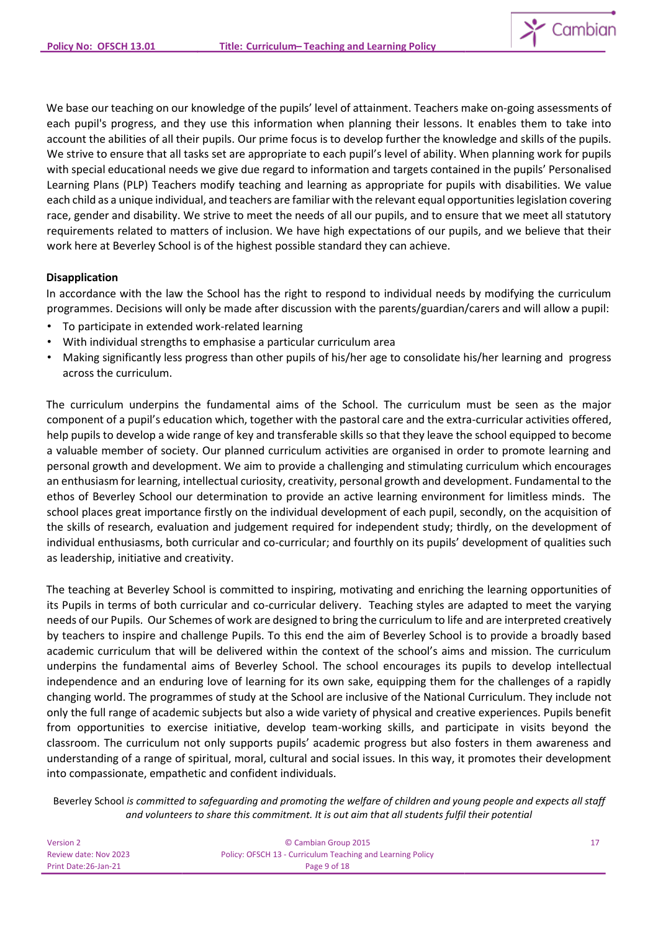We base our teaching on our knowledge of the pupils' level of attainment. Teachers make on-going assessments of each pupil's progress, and they use this information when planning their lessons. It enables them to take into account the abilities of all their pupils. Our prime focus is to develop further the knowledge and skills of the pupils. We strive to ensure that all tasks set are appropriate to each pupil's level of ability. When planning work for pupils with special educational needs we give due regard to information and targets contained in the pupils' Personalised Learning Plans (PLP) Teachers modify teaching and learning as appropriate for pupils with disabilities. We value each child as a unique individual, and teachers are familiar with the relevant equal opportunities legislation covering race, gender and disability. We strive to meet the needs of all our pupils, and to ensure that we meet all statutory requirements related to matters of inclusion. We have high expectations of our pupils, and we believe that their work here at Beverley School is of the highest possible standard they can achieve.

## **Disapplication**

In accordance with the law the School has the right to respond to individual needs by modifying the curriculum programmes. Decisions will only be made after discussion with the parents/guardian/carers and will allow a pupil:

- To participate in extended work-related learning
- With individual strengths to emphasise a particular curriculum area
- Making significantly less progress than other pupils of his/her age to consolidate his/her learning and progress across the curriculum.

The curriculum underpins the fundamental aims of the School. The curriculum must be seen as the major component of a pupil's education which, together with the pastoral care and the extra-curricular activities offered, help pupils to develop a wide range of key and transferable skills so that they leave the school equipped to become a valuable member of society. Our planned curriculum activities are organised in order to promote learning and personal growth and development. We aim to provide a challenging and stimulating curriculum which encourages an enthusiasm for learning, intellectual curiosity, creativity, personal growth and development. Fundamental to the ethos of Beverley School our determination to provide an active learning environment for limitless minds. The school places great importance firstly on the individual development of each pupil, secondly, on the acquisition of the skills of research, evaluation and judgement required for independent study; thirdly, on the development of individual enthusiasms, both curricular and co-curricular; and fourthly on its pupils' development of qualities such as leadership, initiative and creativity.

The teaching at Beverley School is committed to inspiring, motivating and enriching the learning opportunities of its Pupils in terms of both curricular and co-curricular delivery. Teaching styles are adapted to meet the varying needs of our Pupils. Our Schemes of work are designed to bring the curriculum to life and are interpreted creatively by teachers to inspire and challenge Pupils. To this end the aim of Beverley School is to provide a broadly based academic curriculum that will be delivered within the context of the school's aims and mission. The curriculum underpins the fundamental aims of Beverley School. The school encourages its pupils to develop intellectual independence and an enduring love of learning for its own sake, equipping them for the challenges of a rapidly changing world. The programmes of study at the School are inclusive of the National Curriculum. They include not only the full range of academic subjects but also a wide variety of physical and creative experiences. Pupils benefit from opportunities to exercise initiative, develop team-working skills, and participate in visits beyond the classroom. The curriculum not only supports pupils' academic progress but also fosters in them awareness and understanding of a range of spiritual, moral, cultural and social issues. In this way, it promotes their development into compassionate, empathetic and confident individuals.

| Version 2             | © Cambian Group 2015                                       |  |
|-----------------------|------------------------------------------------------------|--|
| Review date: Nov 2023 | Policy: OFSCH 13 - Curriculum Teaching and Learning Policy |  |
| Print Date: 26-Jan-21 | Page 9 of 18                                               |  |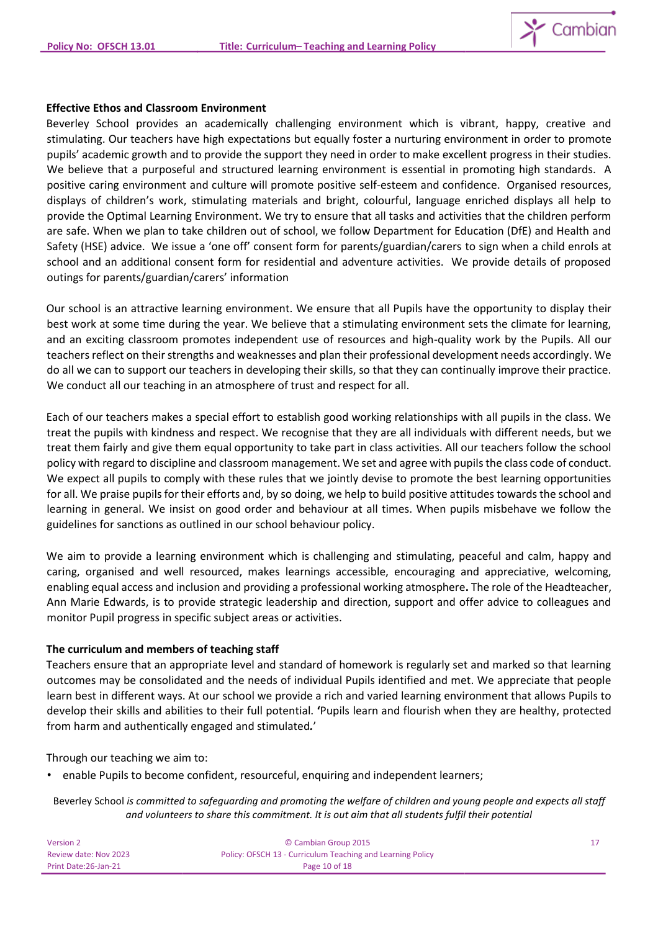

#### **Effective Ethos and Classroom Environment**

Beverley School provides an academically challenging environment which is vibrant, happy, creative and stimulating. Our teachers have high expectations but equally foster a nurturing environment in order to promote pupils' academic growth and to provide the support they need in order to make excellent progress in their studies. We believe that a purposeful and structured learning environment is essential in promoting high standards. A positive caring environment and culture will promote positive self-esteem and confidence. Organised resources, displays of children's work, stimulating materials and bright, colourful, language enriched displays all help to provide the Optimal Learning Environment. We try to ensure that all tasks and activities that the children perform are safe. When we plan to take children out of school, we follow Department for Education (DfE) and Health and Safety (HSE) advice. We issue a 'one off' consent form for parents/guardian/carers to sign when a child enrols at school and an additional consent form for residential and adventure activities. We provide details of proposed outings for parents/guardian/carers' information

Our school is an attractive learning environment. We ensure that all Pupils have the opportunity to display their best work at some time during the year. We believe that a stimulating environment sets the climate for learning, and an exciting classroom promotes independent use of resources and high-quality work by the Pupils. All our teachers reflect on their strengths and weaknesses and plan their professional development needs accordingly. We do all we can to support our teachers in developing their skills, so that they can continually improve their practice. We conduct all our teaching in an atmosphere of trust and respect for all.

Each of our teachers makes a special effort to establish good working relationships with all pupils in the class. We treat the pupils with kindness and respect. We recognise that they are all individuals with different needs, but we treat them fairly and give them equal opportunity to take part in class activities. All our teachers follow the school policy with regard to discipline and classroom management. We set and agree with pupils the class code of conduct. We expect all pupils to comply with these rules that we jointly devise to promote the best learning opportunities for all. We praise pupils for their efforts and, by so doing, we help to build positive attitudes towards the school and learning in general. We insist on good order and behaviour at all times. When pupils misbehave we follow the guidelines for sanctions as outlined in our school behaviour policy.

We aim to provide a learning environment which is challenging and stimulating, peaceful and calm, happy and caring, organised and well resourced, makes learnings accessible, encouraging and appreciative, welcoming, enabling equal access and inclusion and providing a professional working atmosphere**.** The role of the Headteacher, Ann Marie Edwards, is to provide strategic leadership and direction, support and offer advice to colleagues and monitor Pupil progress in specific subject areas or activities.

## **The curriculum and members of teaching staff**

Teachers ensure that an appropriate level and standard of homework is regularly set and marked so that learning outcomes may be consolidated and the needs of individual Pupils identified and met. We appreciate that people learn best in different ways. At our school we provide a rich and varied learning environment that allows Pupils to develop their skills and abilities to their full potential. **'**Pupils learn and flourish when they are healthy, protected from harm and authentically engaged and stimulated*.*'

Through our teaching we aim to:

• enable Pupils to become confident, resourceful, enquiring and independent learners;

| Version 2             | © Cambian Group 2015                                       |  |
|-----------------------|------------------------------------------------------------|--|
| Review date: Nov 2023 | Policy: OFSCH 13 - Curriculum Teaching and Learning Policy |  |
| Print Date:26-Jan-21  | Page 10 of 18                                              |  |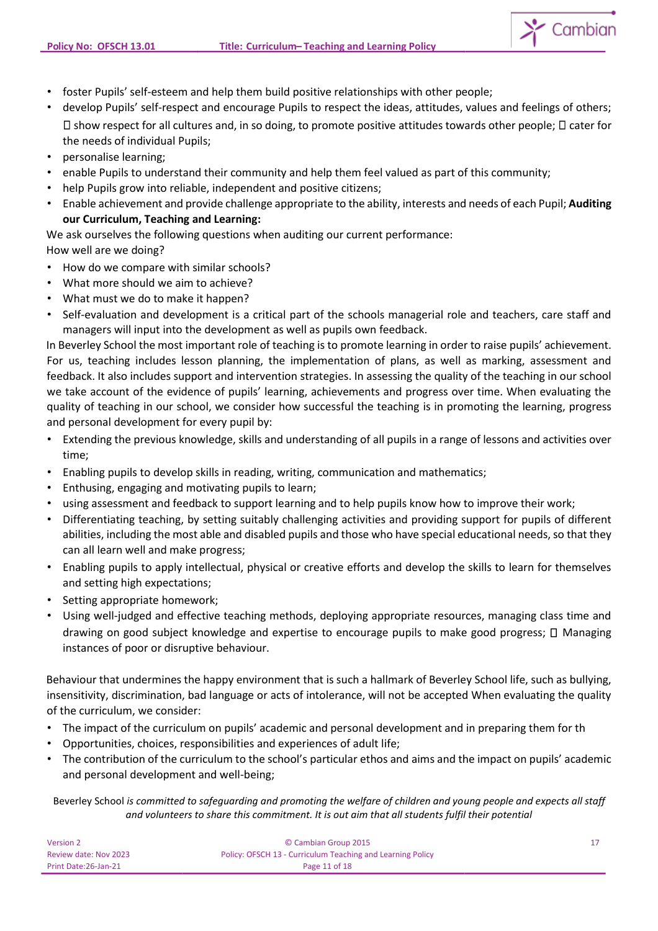

- foster Pupils' self-esteem and help them build positive relationships with other people;
- develop Pupils' self-respect and encourage Pupils to respect the ideas, attitudes, values and feelings of others;  $\Box$  show respect for all cultures and, in so doing, to promote positive attitudes towards other people;  $\Box$  cater for the needs of individual Pupils;
- personalise learning;
- enable Pupils to understand their community and help them feel valued as part of this community;
- help Pupils grow into reliable, independent and positive citizens;
- Enable achievement and provide challenge appropriate to the ability, interests and needs of each Pupil; **Auditing our Curriculum, Teaching and Learning:**

We ask ourselves the following questions when auditing our current performance:

# How well are we doing?

- How do we compare with similar schools?
- What more should we aim to achieve?
- What must we do to make it happen?
- Self-evaluation and development is a critical part of the schools managerial role and teachers, care staff and managers will input into the development as well as pupils own feedback.

In Beverley School the most important role of teaching is to promote learning in order to raise pupils' achievement. For us, teaching includes lesson planning, the implementation of plans, as well as marking, assessment and feedback. It also includes support and intervention strategies. In assessing the quality of the teaching in our school we take account of the evidence of pupils' learning, achievements and progress over time. When evaluating the quality of teaching in our school, we consider how successful the teaching is in promoting the learning, progress and personal development for every pupil by:

- Extending the previous knowledge, skills and understanding of all pupils in a range of lessons and activities over time;
- Enabling pupils to develop skills in reading, writing, communication and mathematics;
- Enthusing, engaging and motivating pupils to learn;
- using assessment and feedback to support learning and to help pupils know how to improve their work;
- Differentiating teaching, by setting suitably challenging activities and providing support for pupils of different abilities, including the most able and disabled pupils and those who have special educational needs, so that they can all learn well and make progress;
- Enabling pupils to apply intellectual, physical or creative efforts and develop the skills to learn for themselves and setting high expectations;
- Setting appropriate homework;
- Using well-judged and effective teaching methods, deploying appropriate resources, managing class time and drawing on good subject knowledge and expertise to encourage pupils to make good progress;  $\Box$  Managing instances of poor or disruptive behaviour.

Behaviour that undermines the happy environment that is such a hallmark of Beverley School life, such as bullying, insensitivity, discrimination, bad language or acts of intolerance, will not be accepted When evaluating the quality of the curriculum, we consider:

- The impact of the curriculum on pupils' academic and personal development and in preparing them for th
- Opportunities, choices, responsibilities and experiences of adult life;
- The contribution of the curriculum to the school's particular ethos and aims and the impact on pupils' academic and personal development and well-being;

| Version 2             | © Cambian Group 2015                                       |  |
|-----------------------|------------------------------------------------------------|--|
| Review date: Nov 2023 | Policy: OFSCH 13 - Curriculum Teaching and Learning Policy |  |
| Print Date: 26-Jan-21 | Page 11 of 18                                              |  |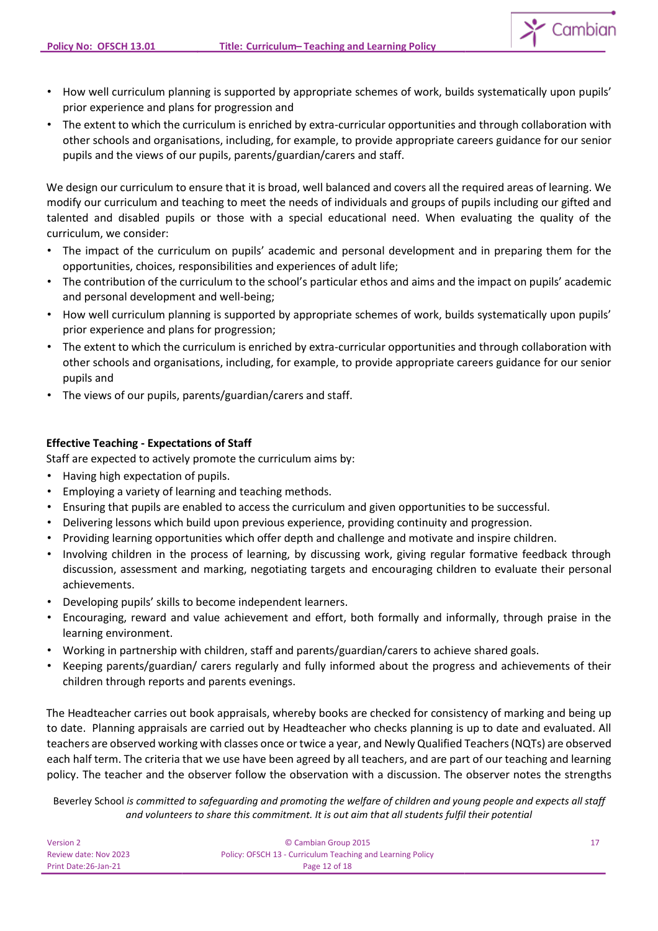- How well curriculum planning is supported by appropriate schemes of work, builds systematically upon pupils' prior experience and plans for progression and
- The extent to which the curriculum is enriched by extra-curricular opportunities and through collaboration with other schools and organisations, including, for example, to provide appropriate careers guidance for our senior pupils and the views of our pupils, parents/guardian/carers and staff.

We design our curriculum to ensure that it is broad, well balanced and covers all the required areas of learning. We modify our curriculum and teaching to meet the needs of individuals and groups of pupils including our gifted and talented and disabled pupils or those with a special educational need. When evaluating the quality of the curriculum, we consider:

- The impact of the curriculum on pupils' academic and personal development and in preparing them for the opportunities, choices, responsibilities and experiences of adult life;
- The contribution of the curriculum to the school's particular ethos and aims and the impact on pupils' academic and personal development and well-being;
- How well curriculum planning is supported by appropriate schemes of work, builds systematically upon pupils' prior experience and plans for progression;
- The extent to which the curriculum is enriched by extra-curricular opportunities and through collaboration with other schools and organisations, including, for example, to provide appropriate careers guidance for our senior pupils and
- The views of our pupils, parents/guardian/carers and staff.

# **Effective Teaching - Expectations of Staff**

Staff are expected to actively promote the curriculum aims by:

- Having high expectation of pupils.
- Employing a variety of learning and teaching methods.
- Ensuring that pupils are enabled to access the curriculum and given opportunities to be successful.
- Delivering lessons which build upon previous experience, providing continuity and progression.
- Providing learning opportunities which offer depth and challenge and motivate and inspire children.
- Involving children in the process of learning, by discussing work, giving regular formative feedback through discussion, assessment and marking, negotiating targets and encouraging children to evaluate their personal achievements.
- Developing pupils' skills to become independent learners.
- Encouraging, reward and value achievement and effort, both formally and informally, through praise in the learning environment.
- Working in partnership with children, staff and parents/guardian/carers to achieve shared goals.
- Keeping parents/guardian/ carers regularly and fully informed about the progress and achievements of their children through reports and parents evenings.

The Headteacher carries out book appraisals, whereby books are checked for consistency of marking and being up to date. Planning appraisals are carried out by Headteacher who checks planning is up to date and evaluated. All teachers are observed working with classes once or twice a year, and Newly Qualified Teachers (NQTs) are observed each half term. The criteria that we use have been agreed by all teachers, and are part of our teaching and learning policy. The teacher and the observer follow the observation with a discussion. The observer notes the strengths

| Version 2             | © Cambian Group 2015                                       |  |
|-----------------------|------------------------------------------------------------|--|
| Review date: Nov 2023 | Policy: OFSCH 13 - Curriculum Teaching and Learning Policy |  |
| Print Date: 26-Jan-21 | Page 12 of 18                                              |  |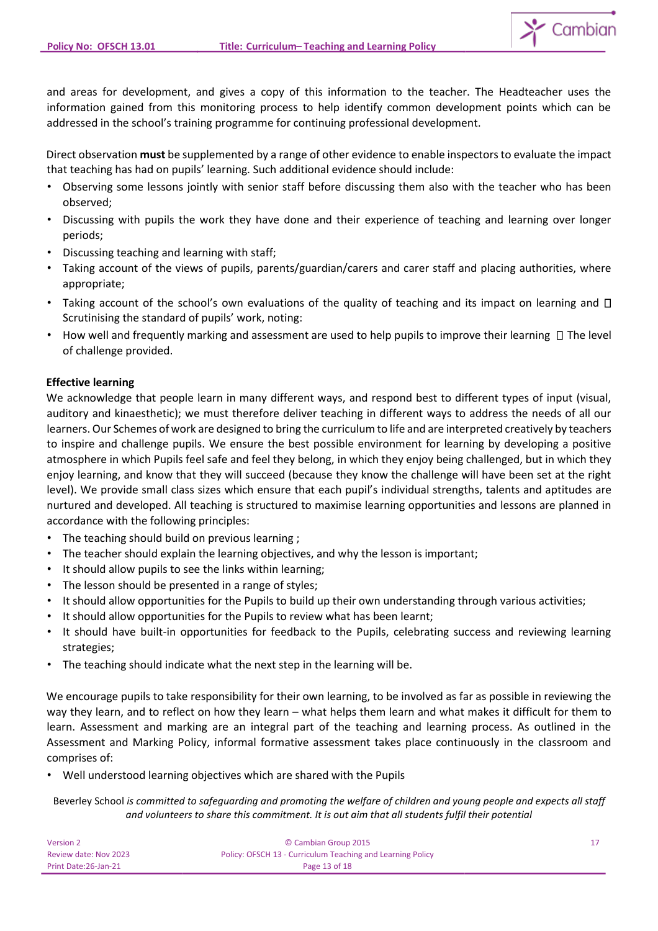and areas for development, and gives a copy of this information to the teacher. The Headteacher uses the information gained from this monitoring process to help identify common development points which can be addressed in the school's training programme for continuing professional development.

Direct observation **must** be supplemented by a range of other evidence to enable inspectors to evaluate the impact that teaching has had on pupils' learning. Such additional evidence should include:

- Observing some lessons jointly with senior staff before discussing them also with the teacher who has been observed;
- Discussing with pupils the work they have done and their experience of teaching and learning over longer periods;
- Discussing teaching and learning with staff;
- Taking account of the views of pupils, parents/guardian/carers and carer staff and placing authorities, where appropriate;
- Taking account of the school's own evaluations of the quality of teaching and its impact on learning and  $\Box$ Scrutinising the standard of pupils' work, noting:
- How well and frequently marking and assessment are used to help pupils to improve their learning  $\Box$  The level of challenge provided.

## **Effective learning**

We acknowledge that people learn in many different ways, and respond best to different types of input (visual, auditory and kinaesthetic); we must therefore deliver teaching in different ways to address the needs of all our learners. Our Schemes of work are designed to bring the curriculum to life and are interpreted creatively by teachers to inspire and challenge pupils. We ensure the best possible environment for learning by developing a positive atmosphere in which Pupils feel safe and feel they belong, in which they enjoy being challenged, but in which they enjoy learning, and know that they will succeed (because they know the challenge will have been set at the right level). We provide small class sizes which ensure that each pupil's individual strengths, talents and aptitudes are nurtured and developed. All teaching is structured to maximise learning opportunities and lessons are planned in accordance with the following principles:

- The teaching should build on previous learning ;
- The teacher should explain the learning objectives, and why the lesson is important;
- It should allow pupils to see the links within learning;
- The lesson should be presented in a range of styles;
- It should allow opportunities for the Pupils to build up their own understanding through various activities;
- It should allow opportunities for the Pupils to review what has been learnt;
- It should have built-in opportunities for feedback to the Pupils, celebrating success and reviewing learning strategies;
- The teaching should indicate what the next step in the learning will be.

We encourage pupils to take responsibility for their own learning, to be involved as far as possible in reviewing the way they learn, and to reflect on how they learn – what helps them learn and what makes it difficult for them to learn. Assessment and marking are an integral part of the teaching and learning process. As outlined in the Assessment and Marking Policy, informal formative assessment takes place continuously in the classroom and comprises of:

• Well understood learning objectives which are shared with the Pupils

| Version 2             | © Cambian Group 2015                                       |  |
|-----------------------|------------------------------------------------------------|--|
| Review date: Nov 2023 | Policy: OFSCH 13 - Curriculum Teaching and Learning Policy |  |
| Print Date: 26-Jan-21 | Page 13 of 18                                              |  |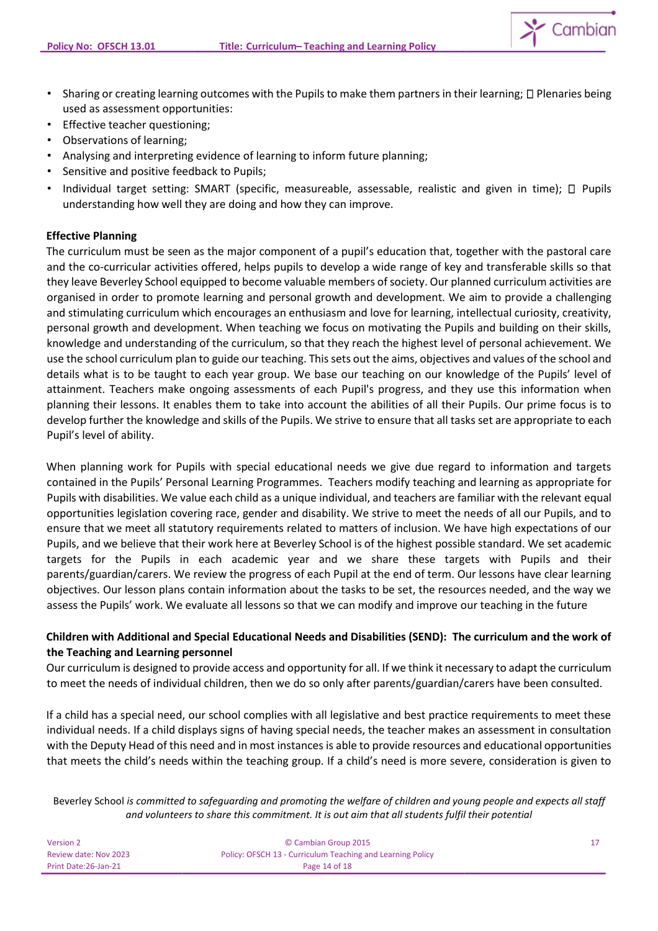

- Sharing or creating learning outcomes with the Pupils to make them partners in their learning;  $\Box$  Plenaries being used as assessment opportunities:
- Effective teacher questioning;
- Observations of learning;
- Analysing and interpreting evidence of learning to inform future planning;
- Sensitive and positive feedback to Pupils;
- Individual target setting: SMART (specific, measureable, assessable, realistic and given in time);  $\Box$  Pupils understanding how well they are doing and how they can improve.

## **Effective Planning**

The curriculum must be seen as the major component of a pupil's education that, together with the pastoral care and the co-curricular activities offered, helps pupils to develop a wide range of key and transferable skills so that they leave Beverley School equipped to become valuable members of society. Our planned curriculum activities are organised in order to promote learning and personal growth and development. We aim to provide a challenging and stimulating curriculum which encourages an enthusiasm and love for learning, intellectual curiosity, creativity, personal growth and development. When teaching we focus on motivating the Pupils and building on their skills, knowledge and understanding of the curriculum, so that they reach the highest level of personal achievement. We use the school curriculum plan to guide our teaching. This sets out the aims, objectives and values of the school and details what is to be taught to each year group. We base our teaching on our knowledge of the Pupils' level of attainment. Teachers make ongoing assessments of each Pupil's progress, and they use this information when planning their lessons. It enables them to take into account the abilities of all their Pupils. Our prime focus is to develop further the knowledge and skills of the Pupils. We strive to ensure that all tasks set are appropriate to each Pupil's level of ability.

When planning work for Pupils with special educational needs we give due regard to information and targets contained in the Pupils' Personal Learning Programmes. Teachers modify teaching and learning as appropriate for Pupils with disabilities. We value each child as a unique individual, and teachers are familiar with the relevant equal opportunities legislation covering race, gender and disability. We strive to meet the needs of all our Pupils, and to ensure that we meet all statutory requirements related to matters of inclusion. We have high expectations of our Pupils, and we believe that their work here at Beverley School is of the highest possible standard. We set academic targets for the Pupils in each academic year and we share these targets with Pupils and their parents/guardian/carers. We review the progress of each Pupil at the end of term. Our lessons have clear learning objectives. Our lesson plans contain information about the tasks to be set, the resources needed, and the way we assess the Pupils' work. We evaluate all lessons so that we can modify and improve our teaching in the future

## **Children with Additional and Special Educational Needs and Disabilities (SEND): The curriculum and the work of the Teaching and Learning personnel**

Our curriculum is designed to provide access and opportunity for all. If we think it necessary to adapt the curriculum to meet the needs of individual children, then we do so only after parents/guardian/carers have been consulted.

If a child has a special need, our school complies with all legislative and best practice requirements to meet these individual needs. If a child displays signs of having special needs, the teacher makes an assessment in consultation with the Deputy Head of this need and in most instances is able to provide resources and educational opportunities that meets the child's needs within the teaching group. If a child's need is more severe, consideration is given to

| Version 2             | © Cambian Group 2015                                       |  |
|-----------------------|------------------------------------------------------------|--|
| Review date: Nov 2023 | Policy: OFSCH 13 - Curriculum Teaching and Learning Policy |  |
| Print Date:26-Jan-21  | Page 14 of 18                                              |  |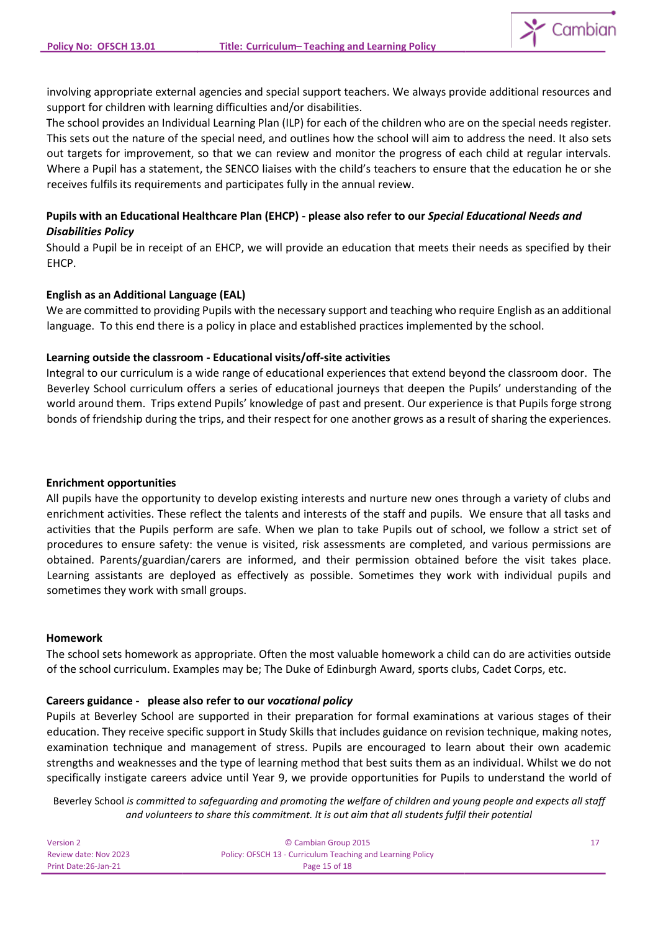involving appropriate external agencies and special support teachers. We always provide additional resources and support for children with learning difficulties and/or disabilities.

The school provides an Individual Learning Plan (ILP) for each of the children who are on the special needs register. This sets out the nature of the special need, and outlines how the school will aim to address the need. It also sets out targets for improvement, so that we can review and monitor the progress of each child at regular intervals. Where a Pupil has a statement, the SENCO liaises with the child's teachers to ensure that the education he or she receives fulfils its requirements and participates fully in the annual review.

## **Pupils with an Educational Healthcare Plan (EHCP) - please also refer to our** *Special Educational Needs and Disabilities Policy*

Should a Pupil be in receipt of an EHCP, we will provide an education that meets their needs as specified by their EHCP.

## **English as an Additional Language (EAL)**

We are committed to providing Pupils with the necessary support and teaching who require English as an additional language. To this end there is a policy in place and established practices implemented by the school.

## **Learning outside the classroom - Educational visits/off-site activities**

Integral to our curriculum is a wide range of educational experiences that extend beyond the classroom door. The Beverley School curriculum offers a series of educational journeys that deepen the Pupils' understanding of the world around them. Trips extend Pupils' knowledge of past and present. Our experience is that Pupils forge strong bonds of friendship during the trips, and their respect for one another grows as a result of sharing the experiences.

## **Enrichment opportunities**

All pupils have the opportunity to develop existing interests and nurture new ones through a variety of clubs and enrichment activities. These reflect the talents and interests of the staff and pupils. We ensure that all tasks and activities that the Pupils perform are safe. When we plan to take Pupils out of school, we follow a strict set of procedures to ensure safety: the venue is visited, risk assessments are completed, and various permissions are obtained. Parents/guardian/carers are informed, and their permission obtained before the visit takes place. Learning assistants are deployed as effectively as possible. Sometimes they work with individual pupils and sometimes they work with small groups.

## **Homework**

The school sets homework as appropriate. Often the most valuable homework a child can do are activities outside of the school curriculum. Examples may be; The Duke of Edinburgh Award, sports clubs, Cadet Corps, etc.

## **Careers guidance - please also refer to our** *vocational policy*

Pupils at Beverley School are supported in their preparation for formal examinations at various stages of their education. They receive specific support in Study Skills that includes guidance on revision technique, making notes, examination technique and management of stress. Pupils are encouraged to learn about their own academic strengths and weaknesses and the type of learning method that best suits them as an individual. Whilst we do not specifically instigate careers advice until Year 9, we provide opportunities for Pupils to understand the world of

| Version 2             | © Cambian Group 2015                                       |  |
|-----------------------|------------------------------------------------------------|--|
| Review date: Nov 2023 | Policy: OFSCH 13 - Curriculum Teaching and Learning Policy |  |
| Print Date: 26-Jan-21 | Page 15 of 18                                              |  |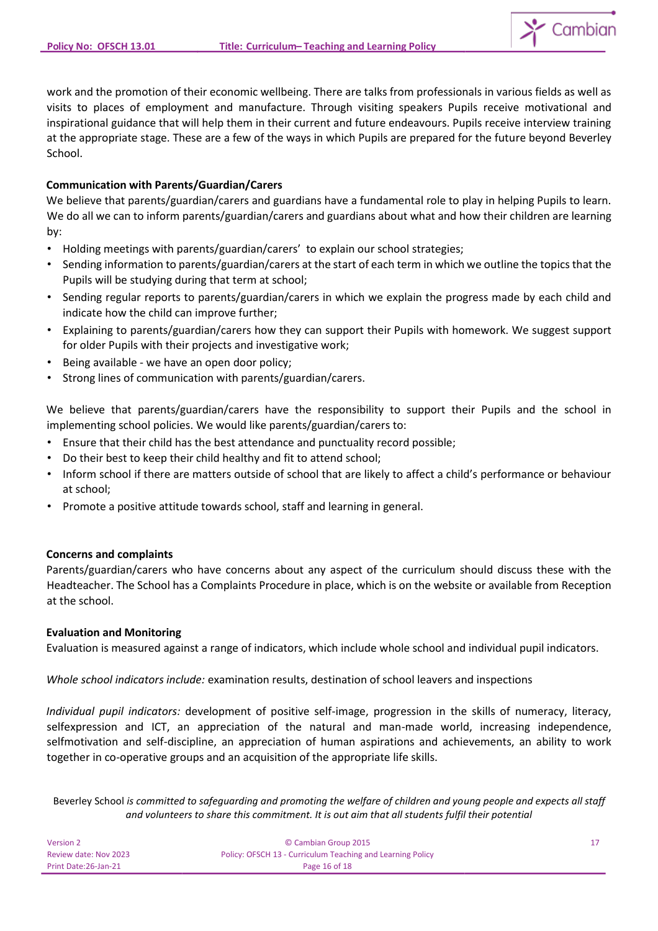

work and the promotion of their economic wellbeing. There are talks from professionals in various fields as well as visits to places of employment and manufacture. Through visiting speakers Pupils receive motivational and inspirational guidance that will help them in their current and future endeavours. Pupils receive interview training at the appropriate stage. These are a few of the ways in which Pupils are prepared for the future beyond Beverley School.

## **Communication with Parents/Guardian/Carers**

We believe that parents/guardian/carers and guardians have a fundamental role to play in helping Pupils to learn. We do all we can to inform parents/guardian/carers and guardians about what and how their children are learning by:

- Holding meetings with parents/guardian/carers' to explain our school strategies;
- Sending information to parents/guardian/carers at the start of each term in which we outline the topics that the Pupils will be studying during that term at school;
- Sending regular reports to parents/guardian/carers in which we explain the progress made by each child and indicate how the child can improve further;
- Explaining to parents/guardian/carers how they can support their Pupils with homework. We suggest support for older Pupils with their projects and investigative work;
- Being available we have an open door policy;
- Strong lines of communication with parents/guardian/carers.

We believe that parents/guardian/carers have the responsibility to support their Pupils and the school in implementing school policies. We would like parents/guardian/carers to:

- Ensure that their child has the best attendance and punctuality record possible;
- Do their best to keep their child healthy and fit to attend school;
- Inform school if there are matters outside of school that are likely to affect a child's performance or behaviour at school;
- Promote a positive attitude towards school, staff and learning in general.

## **Concerns and complaints**

Parents/guardian/carers who have concerns about any aspect of the curriculum should discuss these with the Headteacher. The School has a Complaints Procedure in place, which is on the website or available from Reception at the school.

## **Evaluation and Monitoring**

Evaluation is measured against a range of indicators, which include whole school and individual pupil indicators.

*Whole school indicators include:* examination results, destination of school leavers and inspections

*Individual pupil indicators:* development of positive self-image, progression in the skills of numeracy, literacy, selfexpression and ICT, an appreciation of the natural and man-made world, increasing independence, selfmotivation and self-discipline, an appreciation of human aspirations and achievements, an ability to work together in co-operative groups and an acquisition of the appropriate life skills.

| Version 2             | © Cambian Group 2015                                       |  |
|-----------------------|------------------------------------------------------------|--|
| Review date: Nov 2023 | Policy: OFSCH 13 - Curriculum Teaching and Learning Policy |  |
| Print Date: 26-Jan-21 | Page 16 of 18                                              |  |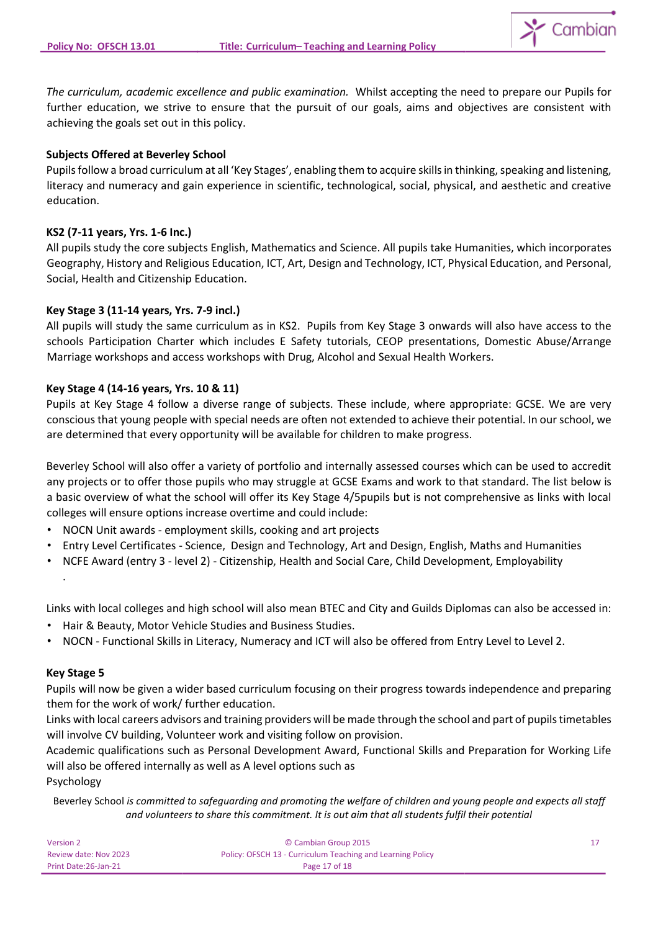

*The curriculum, academic excellence and public examination.* Whilst accepting the need to prepare our Pupils for further education, we strive to ensure that the pursuit of our goals, aims and objectives are consistent with achieving the goals set out in this policy.

## **Subjects Offered at Beverley School**

Pupils follow a broad curriculum at all 'Key Stages', enabling them to acquire skills in thinking, speaking and listening, literacy and numeracy and gain experience in scientific, technological, social, physical, and aesthetic and creative education.

### **KS2 (7-11 years, Yrs. 1-6 Inc.)**

All pupils study the core subjects English, Mathematics and Science. All pupils take Humanities, which incorporates Geography, History and Religious Education, ICT, Art, Design and Technology, ICT, Physical Education, and Personal, Social, Health and Citizenship Education.

### **Key Stage 3 (11-14 years, Yrs. 7-9 incl.)**

All pupils will study the same curriculum as in KS2. Pupils from Key Stage 3 onwards will also have access to the schools Participation Charter which includes E Safety tutorials, CEOP presentations, Domestic Abuse/Arrange Marriage workshops and access workshops with Drug, Alcohol and Sexual Health Workers.

### **Key Stage 4 (14-16 years, Yrs. 10 & 11)**

Pupils at Key Stage 4 follow a diverse range of subjects. These include, where appropriate: GCSE. We are very conscious that young people with special needs are often not extended to achieve their potential. In our school, we are determined that every opportunity will be available for children to make progress.

Beverley School will also offer a variety of portfolio and internally assessed courses which can be used to accredit any projects or to offer those pupils who may struggle at GCSE Exams and work to that standard. The list below is a basic overview of what the school will offer its Key Stage 4/5pupils but is not comprehensive as links with local colleges will ensure options increase overtime and could include:

- NOCN Unit awards employment skills, cooking and art projects
- Entry Level Certificates Science, Design and Technology, Art and Design, English, Maths and Humanities
- NCFE Award (entry 3 level 2) Citizenship, Health and Social Care, Child Development, Employability

Links with local colleges and high school will also mean BTEC and City and Guilds Diplomas can also be accessed in:

- Hair & Beauty, Motor Vehicle Studies and Business Studies.
- NOCN Functional Skills in Literacy, Numeracy and ICT will also be offered from Entry Level to Level 2.

#### **Key Stage 5**

.

Pupils will now be given a wider based curriculum focusing on their progress towards independence and preparing them for the work of work/ further education.

Links with local careers advisors and training providers will be made through the school and part of pupils timetables will involve CV building, Volunteer work and visiting follow on provision.

Academic qualifications such as Personal Development Award, Functional Skills and Preparation for Working Life will also be offered internally as well as A level options such as

Psychology

| Version 2             | © Cambian Group 2015                                       |  |
|-----------------------|------------------------------------------------------------|--|
| Review date: Nov 2023 | Policy: OFSCH 13 - Curriculum Teaching and Learning Policy |  |
| Print Date: 26-Jan-21 | Page 17 of 18                                              |  |